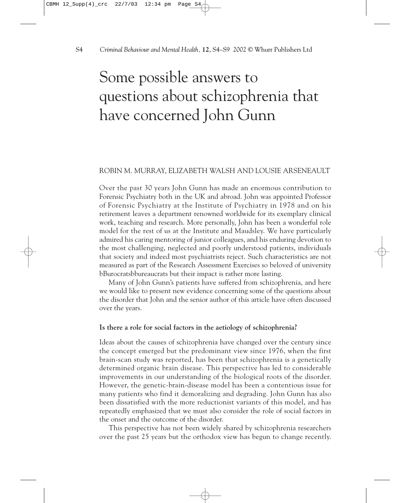# Some possible answers to questions about schizophrenia that have concerned John Gunn

## ROBIN M. MURRAY, ELIZABETH WALSH AND LOUSIE ARSENEAULT

Over the past 30 years John Gunn has made an enormous contribution to Forensic Psychiatry both in the UK and abroad. John was appointed Professor of Forensic Psychiatry at the Institute of Psychiatry in 1978 and on his retirement leaves a department renowned worldwide for its exemplary clinical work, teaching and research. More personally, John has been a wonderful role model for the rest of us at the Institute and Maudsley. We have particularly admired his caring mentoring of junior colleagues, and his enduring devotion to the most challenging, neglected and poorly understood patients, individuals that society and indeed most psychiatrists reject. Such characteristics are not measured as part of the Research Assessment Exercises so beloved of university bBurocratsbbureaucrats but their impact is rather more lasting.

Many of John Gunn's patients have suffered from schizophrenia, and here we would like to present new evidence concerning some of the questions about the disorder that John and the senior author of this article have often discussed over the years.

#### **Is there a role for social factors in the aetiology of schizophrenia?**

Ideas about the causes of schizophrenia have changed over the century since the concept emerged but the predominant view since 1976, when the first brain-scan study was reported, has been that schizophrenia is a genetically determined organic brain disease. This perspective has led to considerable improvements in our understanding of the biological roots of the disorder. However, the genetic-brain-disease model has been a contentious issue for many patients who find it demoralizing and degrading. John Gunn has also been dissatisfied with the more reductionist variants of this model, and has repeatedly emphasized that we must also consider the role of social factors in the onset and the outcome of the disorder.

This perspective has not been widely shared by schizophrenia researchers over the past 25 years but the orthodox view has begun to change recently.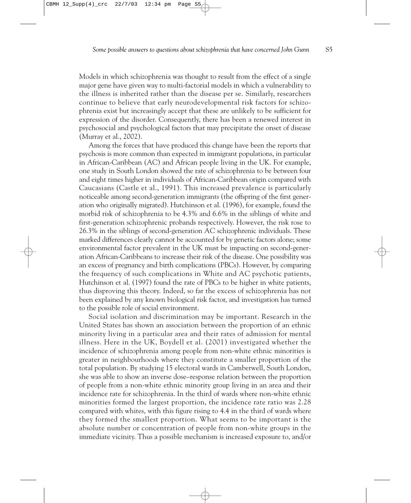Models in which schizophrenia was thought to result from the effect of a single major gene have given way to multi-factorial models in which a vulnerability to the illness is inherited rather than the disease per se. Similarly, researchers continue to believe that early neurodevelopmental risk factors for schizophrenia exist but increasingly accept that these are unlikely to be sufficient for expression of the disorder. Consequently, there has been a renewed interest in psychosocial and psychological factors that may precipitate the onset of disease (Murray et al., 2002).

Among the forces that have produced this change have been the reports that psychosis is more common than expected in immigrant populations, in particular in African-Caribbean (AC) and African people living in the UK. For example, one study in South London showed the rate of schizophrenia to be between four and eight times higher in individuals of African-Caribbean origin compared with Caucasians (Castle et al., 1991). This increased prevalence is particularly noticeable among second-generation immigrants (the offspring of the first generation who originally migrated). Hutchinson et al. (1996), for example, found the morbid risk of schizophrenia to be 4.3% and 6.6% in the siblings of white and first-generation schizophrenic probands respectively. However, the risk rose to 26.3% in the siblings of second-generation AC schizophrenic individuals. These marked differences clearly cannot be accounted for by genetic factors alone; some environmental factor prevalent in the UK must be impacting on second-generation African-Caribbeans to increase their risk of the disease. One possibility was an excess of pregnancy and birth complications (PBCs). However, by comparing the frequency of such complications in White and AC psychotic patients, Hutchinson et al. (1997) found the rate of PBCs to be higher in white patients, thus disproving this theory. Indeed, so far the excess of schizophrenia has not been explained by any known biological risk factor, and investigation has turned to the possible role of social environment.

Social isolation and discrimination may be important. Research in the United States has shown an association between the proportion of an ethnic minority living in a particular area and their rates of admission for mental illness. Here in the UK, Boydell et al. (2001) investigated whether the incidence of schizophrenia among people from non-white ethnic minorities is greater in neighbourhoods where they constitute a smaller proportion of the total population. By studying 15 electoral wards in Camberwell, South London, she was able to show an inverse dose–response relation between the proportion of people from a non-white ethnic minority group living in an area and their incidence rate for schizophrenia. In the third of wards where non-white ethnic minorities formed the largest proportion, the incidence rate ratio was 2.28 compared with whites, with this figure rising to 4.4 in the third of wards where they formed the smallest proportion. What seems to be important is the absolute number or concentration of people from non-white groups in the immediate vicinity. Thus a possible mechanism is increased exposure to, and/or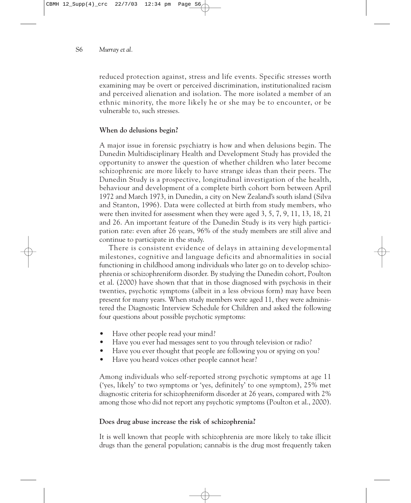reduced protection against, stress and life events. Specific stresses worth examining may be overt or perceived discrimination, institutionalized racism and perceived alienation and isolation. The more isolated a member of an ethnic minority, the more likely he or she may be to encounter, or be vulnerable to, such stresses.

# **When do delusions begin?**

A major issue in forensic psychiatry is how and when delusions begin. The Dunedin Multidisciplinary Health and Development Study has provided the opportunity to answer the question of whether children who later become schizophrenic are more likely to have strange ideas than their peers. The Dunedin Study is a prospective, longitudinal investigation of the health, behaviour and development of a complete birth cohort born between April 1972 and March 1973, in Dunedin, a city on New Zealand's south island (Silva and Stanton, 1996). Data were collected at birth from study members, who were then invited for assessment when they were aged 3, 5, 7, 9, 11, 13, 18, 21 and 26. An important feature of the Dunedin Study is its very high participation rate: even after 26 years, 96% of the study members are still alive and continue to participate in the study.

There is consistent evidence of delays in attaining developmental milestones, cognitive and language deficits and abnormalities in social functioning in childhood among individuals who later go on to develop schizophrenia or schizophreniform disorder. By studying the Dunedin cohort, Poulton et al. (2000) have shown that that in those diagnosed with psychosis in their twenties, psychotic symptoms (albeit in a less obvious form) may have been present for many years. When study members were aged 11, they were administered the Diagnostic Interview Schedule for Children and asked the following four questions about possible psychotic symptoms:

- Have other people read your mind?
- Have you ever had messages sent to you through television or radio?
- Have you ever thought that people are following you or spying on you?
- Have you heard voices other people cannot hear?

Among individuals who self-reported strong psychotic symptoms at age 11 ('yes, likely' to two symptoms or 'yes, definitely' to one symptom), 25% met diagnostic criteria for schizophreniform disorder at 26 years, compared with 2% among those who did not report any psychotic symptoms (Poulton et al., 2000).

## **Does drug abuse increase the risk of schizophrenia?**

It is well known that people with schizophrenia are more likely to take illicit drugs than the general population; cannabis is the drug most frequently taken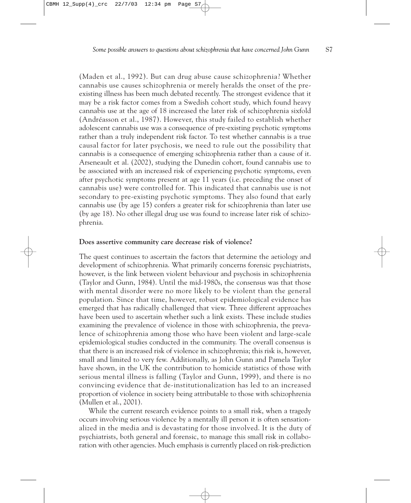(Maden et al., 1992). But can drug abuse cause schizophrenia? Whether cannabis use causes schizophrenia or merely heralds the onset of the preexisting illness has been much debated recently. The strongest evidence that it may be a risk factor comes from a Swedish cohort study, which found heavy cannabis use at the age of 18 increased the later risk of schizophrenia sixfold (Andréasson et al., 1987). However, this study failed to establish whether adolescent cannabis use was a consequence of pre-existing psychotic symptoms rather than a truly independent risk factor. To test whether cannabis is a true causal factor for later psychosis, we need to rule out the possibility that cannabis is a consequence of emerging schizophrenia rather than a cause of it. Arseneault et al. (2002), studying the Dunedin cohort, found cannabis use to be associated with an increased risk of experiencing psychotic symptoms, even after psychotic symptoms present at age 11 years (i.e. preceding the onset of cannabis use) were controlled for. This indicated that cannabis use is not secondary to pre-existing psychotic symptoms. They also found that early cannabis use (by age 15) confers a greater risk for schizophrenia than later use (by age 18). No other illegal drug use was found to increase later risk of schizophrenia.

#### **Does assertive community care decrease risk of violence?**

The quest continues to ascertain the factors that determine the aetiology and development of schizophrenia. What primarily concerns forensic psychiatrists, however, is the link between violent behaviour and psychosis in schizophrenia (Taylor and Gunn, 1984). Until the mid-1980s, the consensus was that those with mental disorder were no more likely to be violent than the general population. Since that time, however, robust epidemiological evidence has emerged that has radically challenged that view. Three different approaches have been used to ascertain whether such a link exists. These include studies examining the prevalence of violence in those with schizophrenia, the prevalence of schizophrenia among those who have been violent and large-scale epidemiological studies conducted in the community. The overall consensus is that there is an increased risk of violence in schizophrenia; this risk is, however, small and limited to very few. Additionally, as John Gunn and Pamela Taylor have shown, in the UK the contribution to homicide statistics of those with serious mental illness is falling (Taylor and Gunn, 1999), and there is no convincing evidence that de-institutionalization has led to an increased proportion of violence in society being attributable to those with schizophrenia (Mullen et al., 2001).

While the current research evidence points to a small risk, when a tragedy occurs involving serious violence by a mentally ill person it is often sensationalized in the media and is devastating for those involved. It is the duty of psychiatrists, both general and forensic, to manage this small risk in collaboration with other agencies. Much emphasis is currently placed on risk-prediction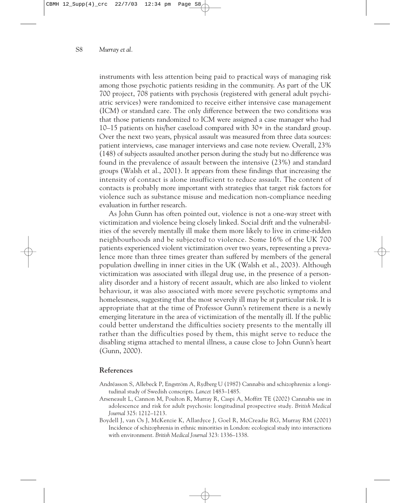instruments with less attention being paid to practical ways of managing risk among those psychotic patients residing in the community. As part of the UK 700 project, 708 patients with psychosis (registered with general adult psychiatric services) were randomized to receive either intensive case management (ICM) or standard care. The only difference between the two conditions was that those patients randomized to ICM were assigned a case manager who had 10–15 patients on his/her caseload compared with 30+ in the standard group. Over the next two years, physical assault was measured from three data sources: patient interviews, case manager interviews and case note review. Overall, 23% (148) of subjects assaulted another person during the study but no difference was found in the prevalence of assault between the intensive (23%) and standard groups (Walsh et al., 2001). It appears from these findings that increasing the intensity of contact is alone insufficient to reduce assault. The content of contacts is probably more important with strategies that target risk factors for violence such as substance misuse and medication non-compliance needing evaluation in further research.

As John Gunn has often pointed out, violence is not a one-way street with victimization and violence being closely linked. Social drift and the vulnerabilities of the severely mentally ill make them more likely to live in crime-ridden neighbourhoods and be subjected to violence. Some 16% of the UK 700 patients experienced violent victimization over two years, representing a prevalence more than three times greater than suffered by members of the general population dwelling in inner cities in the UK (Walsh et al., 2003). Although victimization was associated with illegal drug use, in the presence of a personality disorder and a history of recent assault, which are also linked to violent behaviour, it was also associated with more severe psychotic symptoms and homelessness, suggesting that the most severely ill may be at particular risk. It is appropriate that at the time of Professor Gunn's retirement there is a newly emerging literature in the area of victimization of the mentally ill. If the public could better understand the difficulties society presents to the mentally ill rather than the difficulties posed by them, this might serve to reduce the disabling stigma attached to mental illness, a cause close to John Gunn's heart (Gunn, 2000).

### **References**

- Andréasson S, Allebeck P, Engström A, Rydberg U (1987) Cannabis and schizophrenia: a longitudinal study of Swedish conscripts. *Lancet* 1483–1485.
- Arseneault L, Cannon M, Poulton R, Murray R, Caspi A, Moffitt TE (2002) Cannabis use in adolescence and risk for adult psychosis: longitudinal prospective study. *British Medical Journal* 325: 1212–1213.
- Boydell J, van Os J, McKenzie K, Allardyce J, Goel R, McCreadie RG, Murray RM (2001) Incidence of schizophrenia in ethnic minorities in London: ecological study into interactions with environment. *British Medical Journal* 323: 1336–1338.